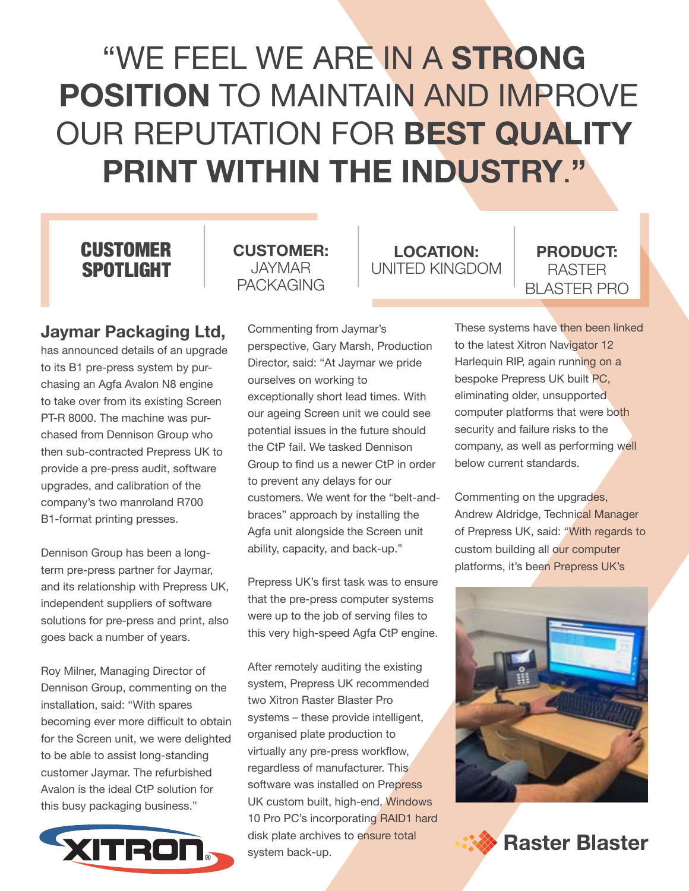# "WE FEEL WE ARE IN A **STRONG POSITION** TO MAINTAIN AND IMPROVE OUR REPUTATION FOR **BEST QUALITY PRINT WITHIN THE INDUSTRY**.**"**

# **CUSTOMER** SPOTLIGHT

# **Jaymar Packaging Ltd,**

has announced details of an upgrade to its B1 pre-press system by purchasing an Agfa Avalon N8 engine to take over from its existing Screen PT-R 8000. The machine was purchased from Dennison Group who then sub-contracted Prepress UK to provide a pre-press audit, software upgrades, and calibration of the company's two manroland R700 B1-format printing presses.

Dennison Group has been a longterm pre-press partner for Jaymar, and its relationship with Prepress UK, independent suppliers of software solutions for pre-press and print, also goes back a number of years.

Roy Milner, Managing Director of Dennison Group, commenting on the installation, said: "With spares becoming ever more difficult to obtain for the Screen unit, we were delighted to be able to assist long-standing customer Jaymar. The refurbished Avalon is the ideal CtP solution for this busy packaging business."



## **CUSTOMER:** JAYMAR PACKAGING

Commenting from Jaymar's perspective, Gary Marsh, Production Director, said: "At Jaymar we pride ourselves on working to exceptionally short lead times. With our ageing Screen unit we could see potential issues in the future should the CtP fail. We tasked Dennison Group to find us a newer CtP in order to prevent any delays for our customers. We went for the "belt-andbraces" approach by installing the Agfa unit alongside the Screen unit ability, capacity, and back-up."

Prepress UK's first task was to ensure that the pre-press computer systems were up to the job of serving files to this very high-speed Agfa CtP engine.

After remotely auditing the existing system, Prepress UK recommended two Xitron Raster Blaster Pro systems – these provide intelligent, organised plate production to virtually any pre-press workflow, regardless of manufacturer. This software was installed on Prepress UK custom built, high-end, Windows 10 Pro PC's incorporating RAID1 hard disk plate archives to ensure total system back-up.

**LOCATION:** UNITED KINGDOM

### **PRODUCT:** RASTER BLASTER PRO

These systems have then been linked to the latest Xitron Navigator 12 Harlequin RIP, again running on a bespoke Prepress UK built PC, eliminating older, unsupported computer platforms that were both security and failure risks to the company, as well as performing well below current standards.

Commenting on the upgrades, Andrew Aldridge, Technical Manager of Prepress UK, said: "With regards to custom building all our computer platforms, it's been Prepress UK's